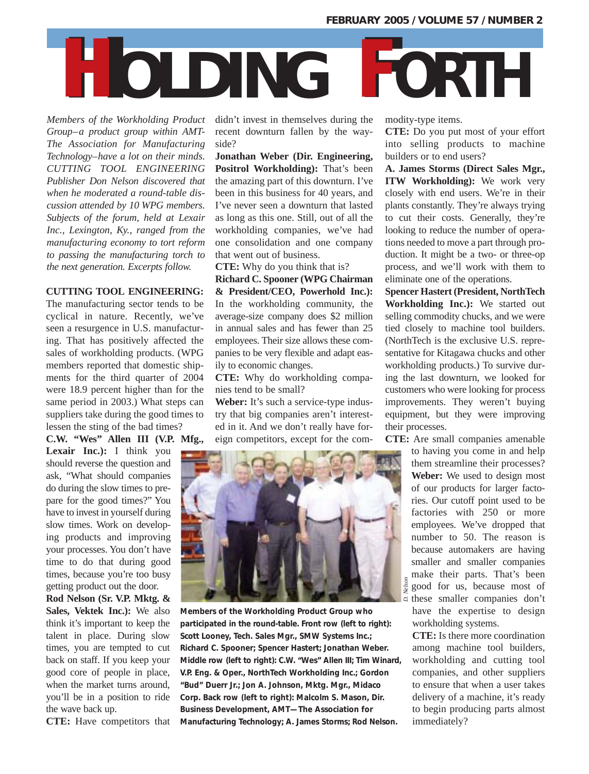## **HOLDING FORTH**

*Members of the Workholding Product Group–a product group within AMT-The Association for Manufacturing Technology–have a lot on their minds. CUTTING TOOL ENGINEERING Publisher Don Nelson discovered that when he moderated a round-table discussion attended by 10 WPG members. Subjects of the forum, held at Lexair Inc., Lexington, Ky., ranged from the manufacturing economy to tort reform to passing the manufacturing torch to the next generation. Excerpts follow.* 

## **CUTTING TOOL ENGINEERING:**

The manufacturing sector tends to be cyclical in nature. Recently, we've seen a resurgence in U.S. manufacturing. That has positively affected the sales of workholding products. (WPG members reported that domestic shipments for the third quarter of 2004 were 18.9 percent higher than for the same period in 2003.) What steps can suppliers take during the good times to lessen the sting of the bad times?

**C.W. "Wes" Allen III (V.P. Mfg.,**

**Lexair Inc.):** I think you should reverse the question and ask, "What should companies do during the slow times to prepare for the good times?" You have to invest in yourself during slow times. Work on developing products and improving your processes. You don't have time to do that during good times, because you're too busy getting product out the door.

**Rod Nelson (Sr. V.P. Mktg. & Sales, Vektek Inc.):** We also think it's important to keep the talent in place. During slow times, you are tempted to cut back on staff. If you keep your good core of people in place, when the market turns around, you'll be in a position to ride the wave back up.

**CTE:** Have competitors that

didn't invest in themselves during the recent downturn fallen by the wayside?

**Jonathan Weber (Dir. Engineering, Positrol Workholding):** That's been the amazing part of this downturn. I've been in this business for 40 years, and I've never seen a downturn that lasted as long as this one. Still, out of all the workholding companies, we've had one consolidation and one company that went out of business.

**CTE:** Why do you think that is?

**Richard C. Spooner (WPG Chairman & President/CEO, Powerhold Inc.):** In the workholding community, the average-size company does \$2 million in annual sales and has fewer than 25 employees. Their size allows these companies to be very flexible and adapt easily to economic changes.

**CTE:** Why do workholding companies tend to be small?

**Weber:** It's such a service-type industry that big companies aren't interested in it. And we don't really have foreign competitors, except for the com-



**Members of the Workholding Product Group who participated in the round-table. Front row (left to right): Scott Looney, Tech. Sales Mgr., SMW Systems Inc.; Richard C. Spooner; Spencer Hastert; Jonathan Weber. Middle row (left to right): C.W. "Wes" Allen III; Tim Winard, V.P. Eng. & Oper., NorthTech Workholding Inc.; Gordon "Bud" Duerr Jr.; Jon A. Johnson, Mktg. Mgr., Midaco Corp. Back row (left to right): Malcolm S. Mason, Dir. Business Development, AMT—The Association for Manufacturing Technology; A. James Storms; Rod Nelson.**

modity-type items.

**CTE:** Do you put most of your effort into selling products to machine builders or to end users?

**A. James Storms (Direct Sales Mgr., ITW Workholding):** We work very closely with end users. We're in their plants constantly. They're always trying to cut their costs. Generally, they're looking to reduce the number of operations needed to move a part through production. It might be a two- or three-op process, and we'll work with them to eliminate one of the operations.

**Spencer Hastert (President, NorthTech Workholding Inc.):** We started out selling commodity chucks, and we were tied closely to machine tool builders. (NorthTech is the exclusive U.S. representative for Kitagawa chucks and other workholding products.) To survive during the last downturn, we looked for customers who were looking for process improvements. They weren't buying equipment, but they were improving their processes.

**CTE:** Are small companies amenable

to having you come in and help them streamline their processes? **Weber:** We used to design most of our products for larger factories. Our cutoff point used to be factories with 250 or more employees. We've dropped that number to 50. The reason is because automakers are having smaller and smaller companies make their parts. That's been good for us, because most of these smaller companies don't have the expertise to design workholding systems.

**CTE:** Is there more coordination among machine tool builders, workholding and cutting tool companies, and other suppliers to ensure that when a user takes delivery of a machine, it's ready to begin producing parts almost immediately?